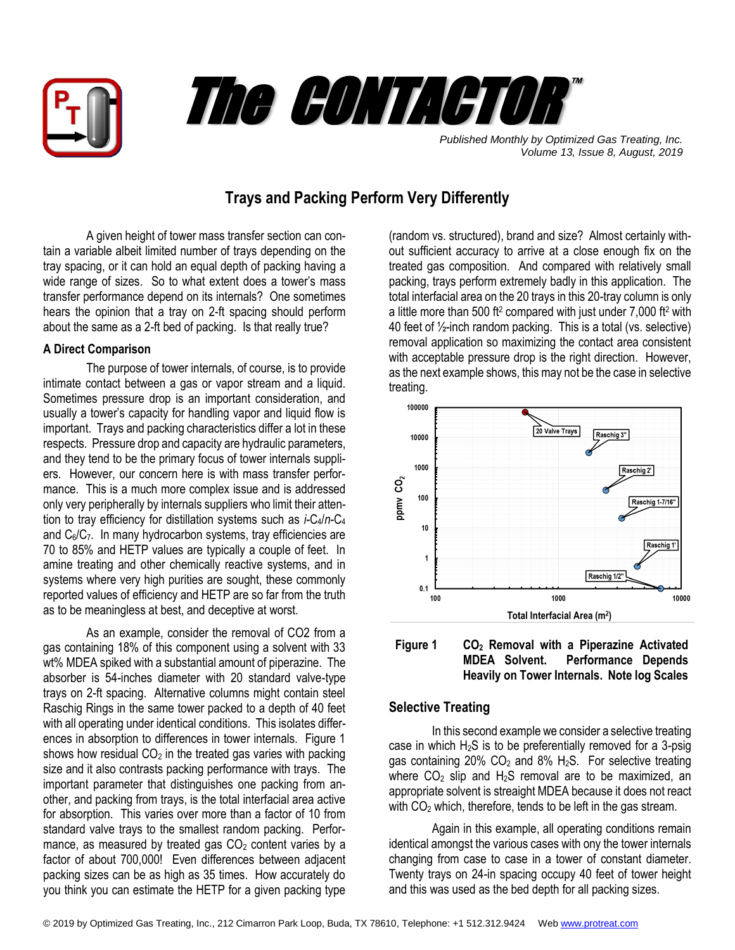



*Published Monthly by Optimized Gas Treating, Inc. Volume 13, Issue 8, August, 2019*

## **Trays and Packing Perform Very Differently**

A given height of tower mass transfer section can contain a variable albeit limited number of trays depending on the tray spacing, or it can hold an equal depth of packing having a wide range of sizes. So to what extent does a tower's mass transfer performance depend on its internals? One sometimes hears the opinion that a tray on 2-ft spacing should perform about the same as a 2-ft bed of packing. Is that really true?

## **A Direct Comparison**

The purpose of tower internals, of course, is to provide intimate contact between a gas or vapor stream and a liquid. Sometimes pressure drop is an important consideration, and usually a tower's capacity for handling vapor and liquid flow is important. Trays and packing characteristics differ a lot in these respects. Pressure drop and capacity are hydraulic parameters, and they tend to be the primary focus of tower internals suppliers. However, our concern here is with mass transfer performance. This is a much more complex issue and is addressed only very peripherally by internals suppliers who limit their attention to tray efficiency for distillation systems such as *i*-C4/*n*-C<sup>4</sup> and  $C_6/C_7$ . In many hydrocarbon systems, tray efficiencies are 70 to 85% and HETP values are typically a couple of feet. In amine treating and other chemically reactive systems, and in systems where very high purities are sought, these commonly reported values of efficiency and HETP are so far from the truth as to be meaningless at best, and deceptive at worst.

As an example, consider the removal of CO2 from a gas containing 18% of this component using a solvent with 33 wt% MDEA spiked with a substantial amount of piperazine. The absorber is 54-inches diameter with 20 standard valve-type trays on 2-ft spacing. Alternative columns might contain steel Raschig Rings in the same tower packed to a depth of 40 feet with all operating under identical conditions. This isolates differences in absorption to differences in tower internals. Figure 1 shows how residual  $CO<sub>2</sub>$  in the treated gas varies with packing size and it also contrasts packing performance with trays. The important parameter that distinguishes one packing from another, and packing from trays, is the total interfacial area active for absorption. This varies over more than a factor of 10 from standard valve trays to the smallest random packing. Performance, as measured by treated gas  $CO<sub>2</sub>$  content varies by a factor of about 700,000! Even differences between adjacent packing sizes can be as high as 35 times. How accurately do you think you can estimate the HETP for a given packing type

(random vs. structured), brand and size? Almost certainly without sufficient accuracy to arrive at a close enough fix on the treated gas composition. And compared with relatively small packing, trays perform extremely badly in this application. The total interfacial area on the 20 trays in this 20-tray column is only a little more than 500 ft<sup>2</sup> compared with just under  $7,000$  ft<sup>2</sup> with 40 feet of ½-inch random packing. This is a total (vs. selective) removal application so maximizing the contact area consistent with acceptable pressure drop is the right direction. However, as the next example shows, this may not be the case in selective treating.





## **Selective Treating**

In this second example we consider a selective treating case in which  $H_2S$  is to be preferentially removed for a 3-psig gas containing 20%  $CO<sub>2</sub>$  and 8% H<sub>2</sub>S. For selective treating where  $CO<sub>2</sub>$  slip and H<sub>2</sub>S removal are to be maximized, an appropriate solvent is streaight MDEA because it does not react with  $CO<sub>2</sub>$  which, therefore, tends to be left in the gas stream.

Again in this example, all operating conditions remain identical amongst the various cases with ony the tower internals changing from case to case in a tower of constant diameter. Twenty trays on 24-in spacing occupy 40 feet of tower height and this was used as the bed depth for all packing sizes.